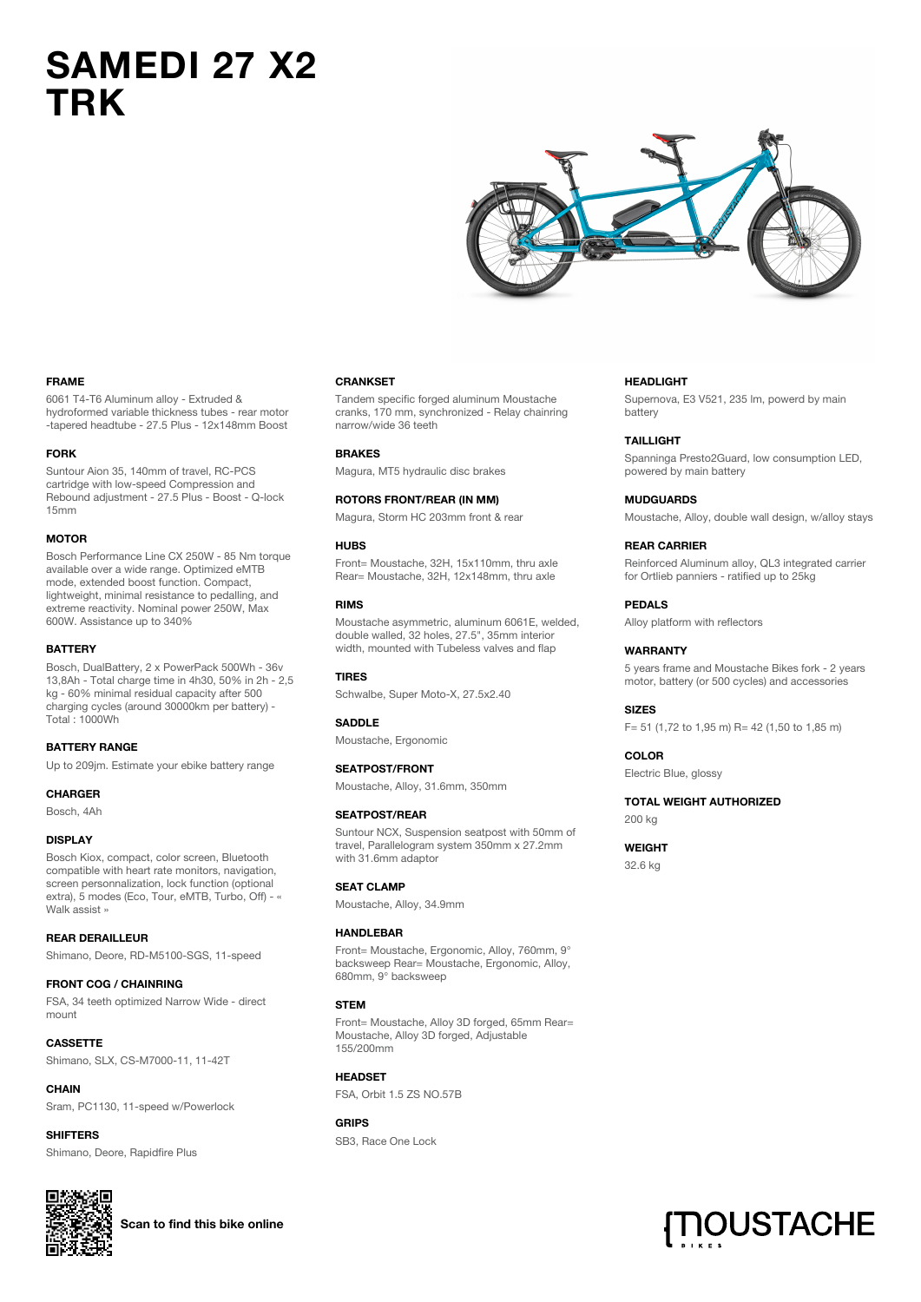# **SAMEDI 27 X2 TRK**



## **FRAME**

6061 T4-T6 Aluminum alloy - Extruded & hydroformed variable thickness tubes - rear motor -tapered headtube - 27.5 Plus - 12x148mm Boost

#### **FORK**

Suntour Aion 35, 140mm of travel, RC-PCS cartridge with low-speed Compression and Rebound adjustment - 27.5 Plus - Boost - Q-lock 15mm

#### **MOTOR**

Bosch Performance Line CX 250W - 85 Nm torque available over a wide range. Optimized eMTB mode, extended boost function. Compact, lightweight, minimal resistance to pedalling, and extreme reactivity. Nominal power 250W, Max 600W. Assistance up to 340%

### **BATTERY**

Bosch, DualBattery, 2 x PowerPack 500Wh - 36v 13,8Ah - Total charge time in 4h30, 50% in 2h - 2,5 kg - 60% minimal residual capacity after 500 charging cycles (around 30000km per battery) - Total : 1000Wh

#### **BATTERY RANGE**

Up to 209jm. Estimate your ebike battery range

#### **CHARGER**

Bosch, 4Ah

### **DISPLAY**

Bosch Kiox, compact, color screen, Bluetooth compatible with heart rate monitors, navigation, screen personnalization, lock function (optional extra), 5 modes (Eco, Tour, eMTB, Turbo, Off) - « Walk assist »

## **REAR DERAILLEUR**

Shimano, Deore, RD-M5100-SGS, 11-speed

#### **FRONT COG / CHAINRING**

FSA, 34 teeth optimized Narrow Wide - direct mount

**CASSETTE** Shimano, SLX, CS-M7000-11, 11-42T

**CHAIN** Sram, PC1130, 11-speed w/Powerlock

**SHIFTERS** Shimano, Deore, Rapidfire Plus



# **Scan to find this bike online**

#### **CRANKSET**

Tandem specific forged aluminum Moustache cranks, 170 mm, synchronized - Relay chainring narrow/wide 36 teeth

#### **BRAKES**

Magura, MT5 hydraulic disc brakes

**ROTORS FRONT/REAR (IN MM)**

Magura, Storm HC 203mm front & rear

#### **HUBS**

Front= Moustache, 32H, 15x110mm, thru axle Rear= Moustache, 32H, 12x148mm, thru axle

## **RIMS**

Moustache asymmetric, aluminum 6061E, welded, double walled, 32 holes, 27.5", 35mm interior width, mounted with Tubeless valves and flap

### **TIRES**

Schwalbe, Super Moto-X, 27.5x2.40

## **SADDLE**

Moustache, Ergonomic

### **SEATPOST/FRONT**

Moustache, Alloy, 31.6mm, 350mm

#### **SEATPOST/REAR**

Suntour NCX, Suspension seatpost with 50mm of travel, Parallelogram system 350mm x 27.2mm with 31.6mm adaptor

## **SEAT CLAMP**

Moustache, Alloy, 34.9mm

#### **HANDLEBAR**

Front= Moustache, Ergonomic, Alloy, 760mm, 9° backsweep Rear= Moustache, Ergonomic, Alloy, 680mm, 9° backsweep

## **STEM**

Front= Moustache, Alloy 3D forged, 65mm Rear= Moustache, Alloy 3D forged, Adjustable 155/200mm

**HEADSET** FSA, Orbit 1.5 ZS NO.57B

## **GRIPS** SB3, Race One Lock

#### **HEADLIGHT**

Supernova, E3 V521, 235 lm, powerd by main battery

**TAILLIGHT**

Spanninga Presto2Guard, low consumption LED, powered by main battery

#### **MUDGUARDS**

Moustache, Alloy, double wall design, w/alloy stays

#### **REAR CARRIER**

Reinforced Aluminum alloy, QL3 integrated carrier for Ortlieb panniers - ratified up to 25kg

**PEDALS**

Alloy platform with reflectors

## **WARRANTY**

5 years frame and Moustache Bikes fork - 2 years motor, battery (or 500 cycles) and accessories

**SIZES** F= 51 (1,72 to 1,95 m) R= 42 (1,50 to 1,85 m)

**COLOR** Electric Blue, glossy

### **TOTAL WEIGHT AUTHORIZED**

200 kg

**WEIGHT** 32.6 kg